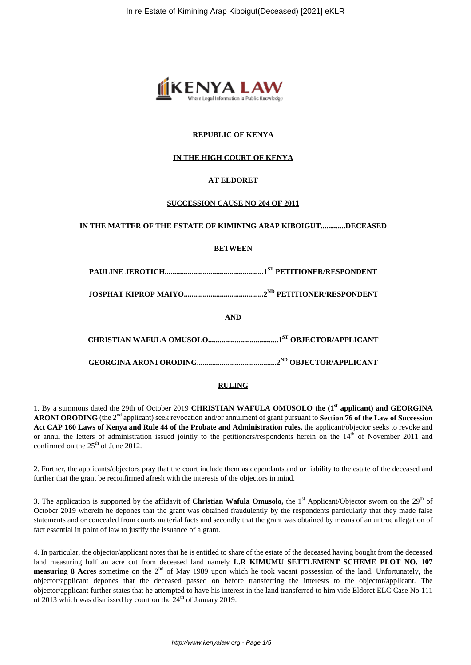

# **REPUBLIC OF KENYA**

# **IN THE HIGH COURT OF KENYA**

# **AT ELDORET**

## **SUCCESSION CAUSE NO 204 OF 2011**

#### **IN THE MATTER OF THE ESTATE OF KIMINING ARAP KIBOIGUT.............DECEASED**

## **BETWEEN**

**PAULINE JEROTICH....................................................1ST PETITIONER/RESPONDENT**

**JOSPHAT KIPROP MAIYO..........................................2ND PETITIONER/RESPONDENT**

**AND**

**CHRISTIAN WAFULA OMUSOLO.....................................1ST OBJECTOR/APPLICANT**

**GEORGINA ARONI ORODING..........................................2ND OBJECTOR/APPLICANT**

#### **RULING**

1. By a summons dated the 29th of October 2019 **CHRISTIAN WAFULA OMUSOLO the (1st applicant) and GEORGINA ARONI ORODING** (the 2nd applicant) seek revocation and/or annulment of grant pursuant to **Section 76 of the Law of Succession Act CAP 160 Laws of Kenya and Rule 44 of the Probate and Administration rules,** the applicant/objector seeks to revoke and or annul the letters of administration issued jointly to the petitioners/respondents herein on the 14<sup>th</sup> of November 2011 and confirmed on the  $25<sup>th</sup>$  of June 2012.

2. Further, the applicants/objectors pray that the court include them as dependants and or liability to the estate of the deceased and further that the grant be reconfirmed afresh with the interests of the objectors in mind.

3. The application is supported by the affidavit of **Christian Wafula Omusolo,** the  $1<sup>st</sup>$  Applicant/Objector sworn on the  $29<sup>th</sup>$  of October 2019 wherein he depones that the grant was obtained fraudulently by the respondents particularly that they made false statements and or concealed from courts material facts and secondly that the grant was obtained by means of an untrue allegation of fact essential in point of law to justify the issuance of a grant.

4. In particular, the objector/applicant notes that he is entitled to share of the estate of the deceased having bought from the deceased land measuring half an acre cut from deceased land namely **L.R KIMUMU SETTLEMENT SCHEME PLOT NO. 107 measuring 8 Acres** sometime on the 2<sup>nd</sup> of May 1989 upon which he took vacant possession of the land. Unfortunately, the objector/applicant depones that the deceased passed on before transferring the interests to the objector/applicant. The objector/applicant further states that he attempted to have his interest in the land transferred to him vide Eldoret ELC Case No 111 of 2013 which was dismissed by court on the  $24<sup>th</sup>$  of January 2019.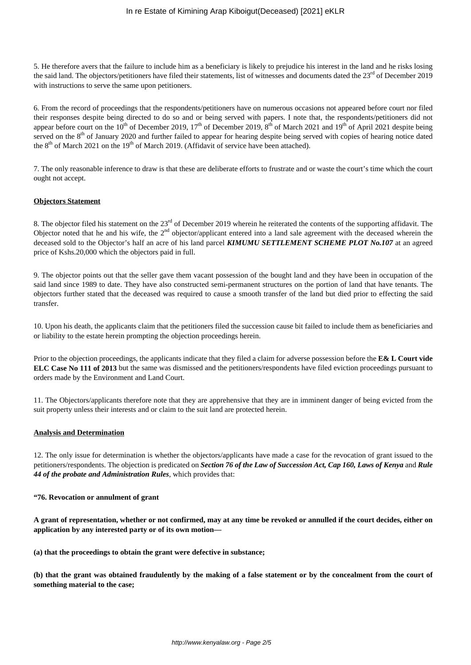5. He therefore avers that the failure to include him as a beneficiary is likely to prejudice his interest in the land and he risks losing the said land. The objectors/petitioners have filed their statements, list of witnesses and documents dated the 23<sup>rd</sup> of December 2019 with instructions to serve the same upon petitioners.

6. From the record of proceedings that the respondents/petitioners have on numerous occasions not appeared before court nor filed their responses despite being directed to do so and or being served with papers. I note that, the respondents/petitioners did not appear before court on the  $10^{th}$  of December 2019,  $17^{th}$  of December 2019,  $8^{th}$  of March 2021 and  $19^{th}$  of April 2021 despite being served on the 8<sup>th</sup> of January 2020 and further failed to appear for hearing despite being served with copies of hearing notice dated the  $8<sup>th</sup>$  of March 2021 on the 19<sup>th</sup> of March 2019. (Affidavit of service have been attached).

7. The only reasonable inference to draw is that these are deliberate efforts to frustrate and or waste the court's time which the court ought not accept.

#### **Objectors Statement**

8. The objector filed his statement on the 23<sup>rd</sup> of December 2019 wherein he reiterated the contents of the supporting affidavit. The Objector noted that he and his wife, the  $2<sup>nd</sup>$  objector/applicant entered into a land sale agreement with the deceased wherein the deceased sold to the Objector's half an acre of his land parcel *KIMUMU SETTLEMENT SCHEME PLOT No.107* at an agreed price of Kshs.20,000 which the objectors paid in full.

9. The objector points out that the seller gave them vacant possession of the bought land and they have been in occupation of the said land since 1989 to date. They have also constructed semi-permanent structures on the portion of land that have tenants. The objectors further stated that the deceased was required to cause a smooth transfer of the land but died prior to effecting the said transfer.

10. Upon his death, the applicants claim that the petitioners filed the succession cause bit failed to include them as beneficiaries and or liability to the estate herein prompting the objection proceedings herein.

Prior to the objection proceedings, the applicants indicate that they filed a claim for adverse possession before the **E& L Court vide ELC Case No 111 of 2013** but the same was dismissed and the petitioners/respondents have filed eviction proceedings pursuant to orders made by the Environment and Land Court.

11. The Objectors/applicants therefore note that they are apprehensive that they are in imminent danger of being evicted from the suit property unless their interests and or claim to the suit land are protected herein.

#### **Analysis and Determination**

12. The only issue for determination is whether the objectors/applicants have made a case for the revocation of grant issued to the petitioners/respondents. The objection is predicated on *Section 76 of the Law of Succession Act, Cap 160, Laws of Kenya* and *Rule 44 of the probate and Administration Rules*, which provides that:

#### **"76. Revocation or annulment of grant**

**A grant of representation, whether or not confirmed, may at any time be revoked or annulled if the court decides, either on application by any interested party or of its own motion—**

**(a) that the proceedings to obtain the grant were defective in substance;**

**(b) that the grant was obtained fraudulently by the making of a false statement or by the concealment from the court of something material to the case;**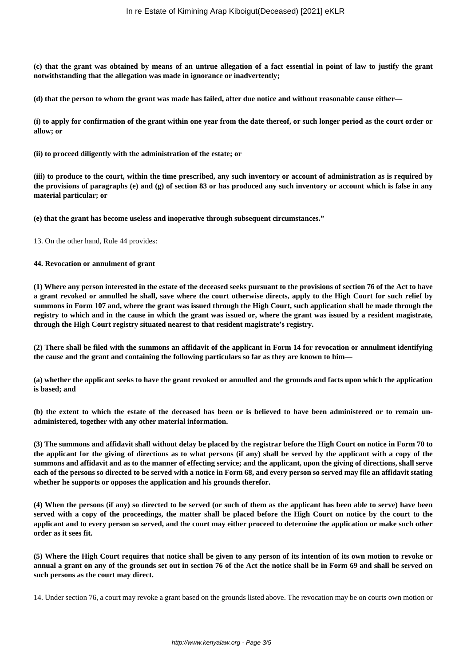**(c) that the grant was obtained by means of an untrue allegation of a fact essential in point of law to justify the grant notwithstanding that the allegation was made in ignorance or inadvertently;**

**(d) that the person to whom the grant was made has failed, after due notice and without reasonable cause either—**

**(i) to apply for confirmation of the grant within one year from the date thereof, or such longer period as the court order or allow; or**

**(ii) to proceed diligently with the administration of the estate; or**

**(iii) to produce to the court, within the time prescribed, any such inventory or account of administration as is required by the provisions of paragraphs (e) and (g) of section 83 or has produced any such inventory or account which is false in any material particular; or**

**(e) that the grant has become useless and inoperative through subsequent circumstances."**

13. On the other hand, Rule 44 provides:

#### **44. Revocation or annulment of grant**

**(1) Where any person interested in the estate of the deceased seeks pursuant to the provisions of section 76 of the Act to have a grant revoked or annulled he shall, save where the court otherwise directs, apply to the High Court for such relief by summons in Form 107 and, where the grant was issued through the High Court, such application shall be made through the registry to which and in the cause in which the grant was issued or, where the grant was issued by a resident magistrate, through the High Court registry situated nearest to that resident magistrate's registry.**

**(2) There shall be filed with the summons an affidavit of the applicant in Form 14 for revocation or annulment identifying the cause and the grant and containing the following particulars so far as they are known to him—**

**(a) whether the applicant seeks to have the grant revoked or annulled and the grounds and facts upon which the application is based; and**

**(b) the extent to which the estate of the deceased has been or is believed to have been administered or to remain unadministered, together with any other material information.**

**(3) The summons and affidavit shall without delay be placed by the registrar before the High Court on notice in Form 70 to the applicant for the giving of directions as to what persons (if any) shall be served by the applicant with a copy of the summons and affidavit and as to the manner of effecting service; and the applicant, upon the giving of directions, shall serve each of the persons so directed to be served with a notice in Form 68, and every person so served may file an affidavit stating whether he supports or opposes the application and his grounds therefor.**

**(4) When the persons (if any) so directed to be served (or such of them as the applicant has been able to serve) have been served with a copy of the proceedings, the matter shall be placed before the High Court on notice by the court to the applicant and to every person so served, and the court may either proceed to determine the application or make such other order as it sees fit.**

**(5) Where the High Court requires that notice shall be given to any person of its intention of its own motion to revoke or annual a grant on any of the grounds set out in section 76 of the Act the notice shall be in Form 69 and shall be served on such persons as the court may direct.**

14. Under section 76, a court may revoke a grant based on the grounds listed above. The revocation may be on courts own motion or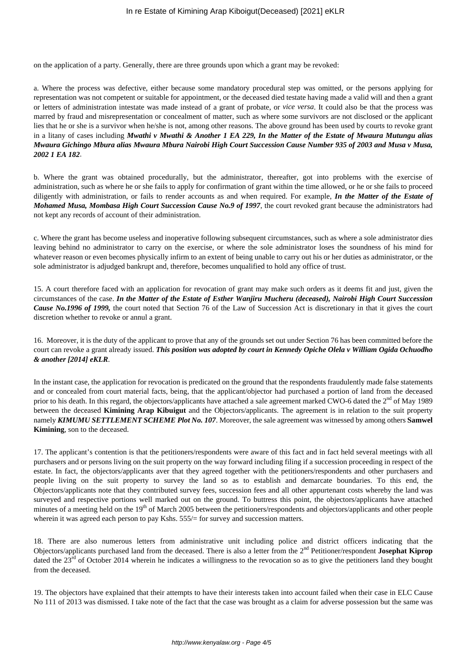on the application of a party. Generally, there are three grounds upon which a grant may be revoked:

a. Where the process was defective, either because some mandatory procedural step was omitted, or the persons applying for representation was not competent or suitable for appointment, or the deceased died testate having made a valid will and then a grant or letters of administration intestate was made instead of a grant of probate, or *vice versa*. It could also be that the process was marred by fraud and misrepresentation or concealment of matter, such as where some survivors are not disclosed or the applicant lies that he or she is a survivor when he/she is not, among other reasons. The above ground has been used by courts to revoke grant in a litany of cases including *Mwathi v Mwathi & Another 1 EA 229, In the Matter of the Estate of Mwaura Mutungu alias Mwaura Gichingo Mbura alias Mwaura Mbura Nairobi High Court Succession Cause Number 935 of 2003 and Musa v Musa, 2002 1 EA 182*.

b. Where the grant was obtained procedurally, but the administrator, thereafter, got into problems with the exercise of administration, such as where he or she fails to apply for confirmation of grant within the time allowed, or he or she fails to proceed diligently with administration, or fails to render accounts as and when required. For example, *In the Matter of the Estate of Mohamed Musa, Mombasa High Court Succession Cause No.9 of 1997*, the court revoked grant because the administrators had not kept any records of account of their administration.

c. Where the grant has become useless and inoperative following subsequent circumstances, such as where a sole administrator dies leaving behind no administrator to carry on the exercise, or where the sole administrator loses the soundness of his mind for whatever reason or even becomes physically infirm to an extent of being unable to carry out his or her duties as administrator, or the sole administrator is adjudged bankrupt and, therefore, becomes unqualified to hold any office of trust.

15. A court therefore faced with an application for revocation of grant may make such orders as it deems fit and just, given the circumstances of the case. *In the Matter of the Estate of Esther Wanjiru Mucheru (deceased), Nairobi High Court Succession Cause No.1996 of 1999,* the court noted that Section 76 of the Law of Succession Act is discretionary in that it gives the court discretion whether to revoke or annul a grant.

16. Moreover, it is the duty of the applicant to prove that any of the grounds set out under Section 76 has been committed before the court can revoke a grant already issued. *This position was adopted by court in Kennedy Opiche Olela v William Ogida Ochuodho & another [2014] eKLR*.

In the instant case, the application for revocation is predicated on the ground that the respondents fraudulently made false statements and or concealed from court material facts, being, that the applicant/objector had purchased a portion of land from the deceased prior to his death. In this regard, the objectors/applicants have attached a sale agreement marked CWO-6 dated the 2<sup>nd</sup> of May 1989 between the deceased **Kimining Arap Kibuigut** and the Objectors/applicants. The agreement is in relation to the suit property namely *KIMUMU SETTLEMENT SCHEME Plot No. 107*. Moreover, the sale agreement was witnessed by among others **Samwel Kimining**, son to the deceased.

17. The applicant's contention is that the petitioners/respondents were aware of this fact and in fact held several meetings with all purchasers and or persons living on the suit property on the way forward including filing if a succession proceeding in respect of the estate. In fact, the objectors/applicants aver that they agreed together with the petitioners/respondents and other purchasers and people living on the suit property to survey the land so as to establish and demarcate boundaries. To this end, the Objectors/applicants note that they contributed survey fees, succession fees and all other appurtenant costs whereby the land was surveyed and respective portions well marked out on the ground. To buttress this point, the objectors/applicants have attached minutes of a meeting held on the 19<sup>th</sup> of March 2005 between the petitioners/respondents and objectors/applicants and other people wherein it was agreed each person to pay Kshs. 555/= for survey and succession matters.

18. There are also numerous letters from administrative unit including police and district officers indicating that the Objectors/applicants purchased land from the deceased. There is also a letter from the 2nd Petitioner/respondent **Josephat Kiprop** dated the  $23<sup>rd</sup>$  of October 2014 wherein he indicates a willingness to the revocation so as to give the petitioners land they bought from the deceased.

19. The objectors have explained that their attempts to have their interests taken into account failed when their case in ELC Cause No 111 of 2013 was dismissed. I take note of the fact that the case was brought as a claim for adverse possession but the same was